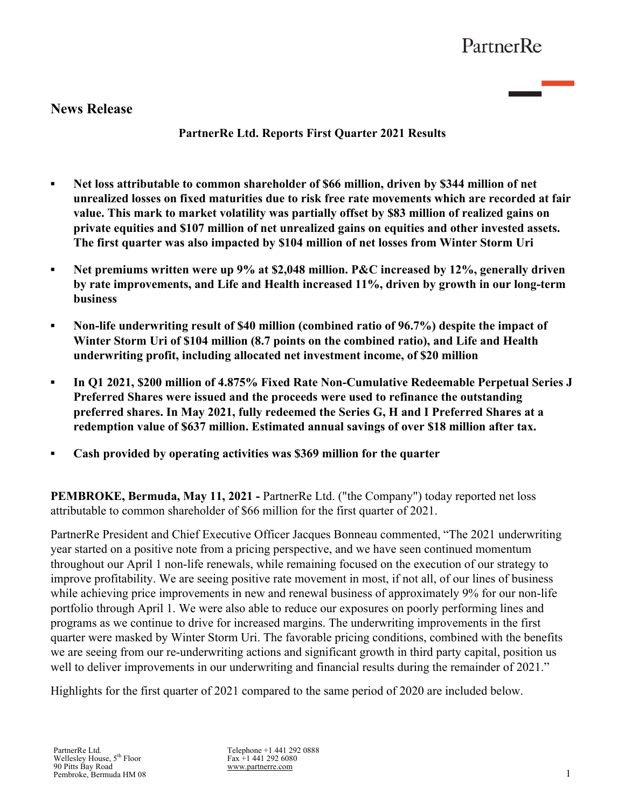# **News Release**

**PartnerRe Ltd. Reports First Quarter 2021 Results**

- **▪ Net loss attributable to common shareholder of \$66 million, driven by \$344 million of net unrealized losses on fixed maturities due to risk free rate movements which are recorded at fair value. This mark to market volatility was partially offset by \$83 million of realized gains on private equities and \$107 million of net unrealized gains on equities and other invested assets. The first quarter was also impacted by \$104 million of net losses from Winter Storm Uri**
- **▪ Net premiums written were up 9% at \$2,048 million. P&C increased by 12%, generally driven by rate improvements, and Life and Health increased 11%, driven by growth in our long-term business**
- **▪ Non-life underwriting result of \$40 million (combined ratio of 96.7%) despite the impact of Winter Storm Uri of \$104 million (8.7 points on the combined ratio), and Life and Health underwriting profit, including allocated net investment income, of \$20 million**
- *▪* **In Q1 2021, \$200 million of 4.875% Fixed Rate Non-Cumulative Redeemable Perpetual Series J Preferred Shares were issued and the proceeds were used to refinance the outstanding preferred shares. In May 2021, fully redeemed the Series G, H and I Preferred Shares at a redemption value of \$637 million. Estimated annual savings of over \$18 million after tax.**
- **▪ Cash provided by operating activities was \$369 million for the quarter**

**PEMBROKE, Bermuda, May 11, 2021 -** PartnerRe Ltd. ("the Company") today reported net loss attributable to common shareholder of \$66 million for the first quarter of 2021.

PartnerRe President and Chief Executive Officer Jacques Bonneau commented, "The 2021 underwriting year started on a positive note from a pricing perspective, and we have seen continued momentum throughout our April 1 non-life renewals, while remaining focused on the execution of our strategy to improve profitability. We are seeing positive rate movement in most, if not all, of our lines of business while achieving price improvements in new and renewal business of approximately 9% for our non-life portfolio through April 1. We were also able to reduce our exposures on poorly performing lines and programs as we continue to drive for increased margins. The underwriting improvements in the first quarter were masked by Winter Storm Uri. The favorable pricing conditions, combined with the benefits we are seeing from our re-underwriting actions and significant growth in third party capital, position us well to deliver improvements in our underwriting and financial results during the remainder of 2021."

Highlights for the first quarter of 2021 compared to the same period of 2020 are included below.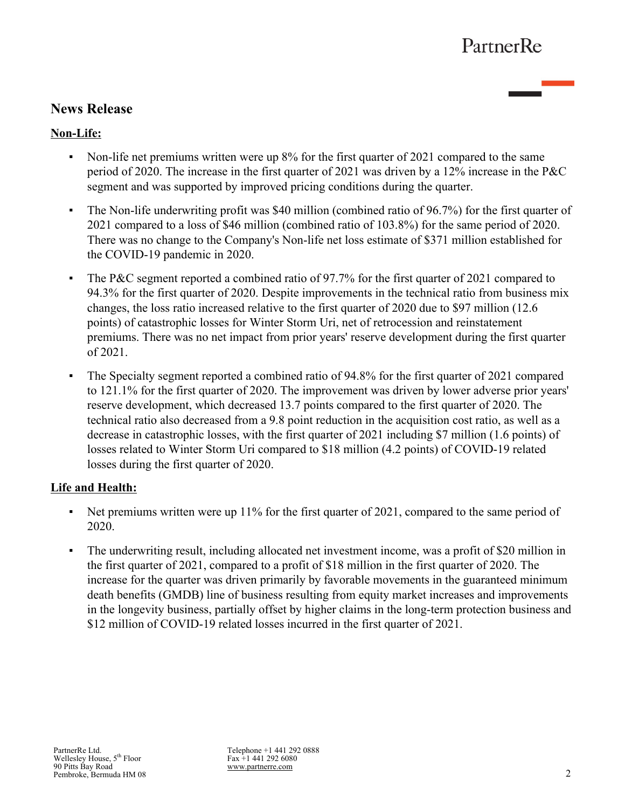# **News Release**

## **Non-Life:**

- Non-life net premiums written were up 8% for the first quarter of 2021 compared to the same period of 2020. The increase in the first quarter of 2021 was driven by a 12% increase in the P&C segment and was supported by improved pricing conditions during the quarter.
- The Non-life underwriting profit was \$40 million (combined ratio of 96.7%) for the first quarter of 2021 compared to a loss of \$46 million (combined ratio of 103.8%) for the same period of 2020. There was no change to the Company's Non-life net loss estimate of \$371 million established for the COVID-19 pandemic in 2020.
- The P&C segment reported a combined ratio of 97.7% for the first quarter of 2021 compared to 94.3% for the first quarter of 2020. Despite improvements in the technical ratio from business mix changes, the loss ratio increased relative to the first quarter of 2020 due to \$97 million (12.6 points) of catastrophic losses for Winter Storm Uri, net of retrocession and reinstatement premiums. There was no net impact from prior years' reserve development during the first quarter of 2021.
- The Specialty segment reported a combined ratio of 94.8% for the first quarter of 2021 compared to 121.1% for the first quarter of 2020. The improvement was driven by lower adverse prior years' reserve development, which decreased 13.7 points compared to the first quarter of 2020. The technical ratio also decreased from a 9.8 point reduction in the acquisition cost ratio, as well as a decrease in catastrophic losses, with the first quarter of 2021 including \$7 million (1.6 points) of losses related to Winter Storm Uri compared to \$18 million (4.2 points) of COVID-19 related losses during the first quarter of 2020.

## **Life and Health:**

- Net premiums written were up 11% for the first quarter of 2021, compared to the same period of 2020.
- The underwriting result, including allocated net investment income, was a profit of \$20 million in the first quarter of 2021, compared to a profit of \$18 million in the first quarter of 2020. The increase for the quarter was driven primarily by favorable movements in the guaranteed minimum death benefits (GMDB) line of business resulting from equity market increases and improvements in the longevity business, partially offset by higher claims in the long-term protection business and \$12 million of COVID-19 related losses incurred in the first quarter of 2021.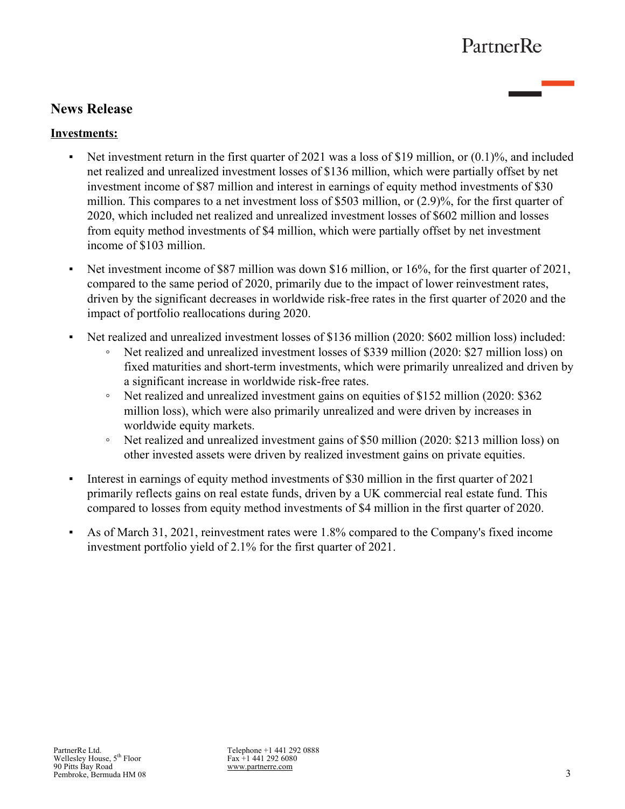# **News Release**

## **Investments:**

- Exercise 1.1 Net investment return in the first quarter of 2021 was a loss of \$19 million, or  $(0.1)$ %, and included net realized and unrealized investment losses of \$136 million, which were partially offset by net investment income of \$87 million and interest in earnings of equity method investments of \$30 million. This compares to a net investment loss of \$503 million, or (2.9)%, for the first quarter of 2020, which included net realized and unrealized investment losses of \$602 million and losses from equity method investments of \$4 million, which were partially offset by net investment income of \$103 million.
- Net investment income of \$87 million was down \$16 million, or 16%, for the first quarter of 2021, compared to the same period of 2020, primarily due to the impact of lower reinvestment rates, driven by the significant decreases in worldwide risk-free rates in the first quarter of 2020 and the impact of portfolio reallocations during 2020.
- Net realized and unrealized investment losses of \$136 million (2020: \$602 million loss) included:
	- Net realized and unrealized investment losses of \$339 million (2020: \$27 million loss) on fixed maturities and short-term investments, which were primarily unrealized and driven by a significant increase in worldwide risk-free rates.
	- Net realized and unrealized investment gains on equities of \$152 million (2020: \$362 million loss), which were also primarily unrealized and were driven by increases in worldwide equity markets.
	- Net realized and unrealized investment gains of \$50 million (2020: \$213 million loss) on other invested assets were driven by realized investment gains on private equities.
- Interest in earnings of equity method investments of \$30 million in the first quarter of 2021 primarily reflects gains on real estate funds, driven by a UK commercial real estate fund. This compared to losses from equity method investments of \$4 million in the first quarter of 2020.
- As of March 31, 2021, reinvestment rates were 1.8% compared to the Company's fixed income investment portfolio yield of 2.1% for the first quarter of 2021.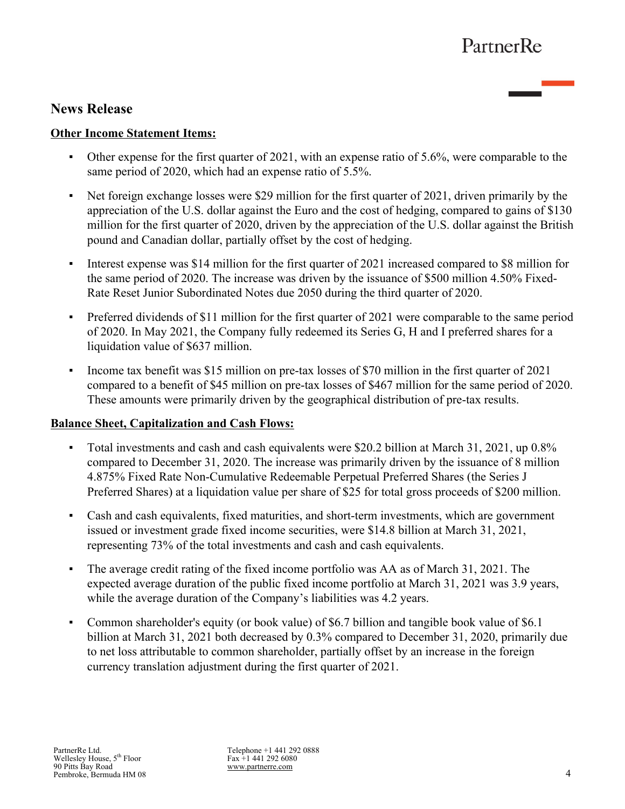# **News Release**

## **Other Income Statement Items:**

- Other expense for the first quarter of 2021, with an expense ratio of 5.6%, were comparable to the same period of 2020, which had an expense ratio of 5.5%.
- Net foreign exchange losses were \$29 million for the first quarter of 2021, driven primarily by the appreciation of the U.S. dollar against the Euro and the cost of hedging, compared to gains of \$130 million for the first quarter of 2020, driven by the appreciation of the U.S. dollar against the British pound and Canadian dollar, partially offset by the cost of hedging.
- Interest expense was \$14 million for the first quarter of 2021 increased compared to \$8 million for the same period of 2020. The increase was driven by the issuance of \$500 million 4.50% Fixed-Rate Reset Junior Subordinated Notes due 2050 during the third quarter of 2020.
- Preferred dividends of \$11 million for the first quarter of 2021 were comparable to the same period of 2020. In May 2021, the Company fully redeemed its Series G, H and I preferred shares for a liquidation value of \$637 million.
- Income tax benefit was \$15 million on pre-tax losses of \$70 million in the first quarter of 2021 compared to a benefit of \$45 million on pre-tax losses of \$467 million for the same period of 2020. These amounts were primarily driven by the geographical distribution of pre-tax results.

## **Balance Sheet, Capitalization and Cash Flows:**

- Total investments and cash and cash equivalents were \$20.2 billion at March 31, 2021, up 0.8% compared to December 31, 2020. The increase was primarily driven by the issuance of 8 million 4.875% Fixed Rate Non-Cumulative Redeemable Perpetual Preferred Shares (the Series J Preferred Shares) at a liquidation value per share of \$25 for total gross proceeds of \$200 million.
- Cash and cash equivalents, fixed maturities, and short-term investments, which are government issued or investment grade fixed income securities, were \$14.8 billion at March 31, 2021, representing 73% of the total investments and cash and cash equivalents.
- The average credit rating of the fixed income portfolio was AA as of March 31, 2021. The expected average duration of the public fixed income portfolio at March 31, 2021 was 3.9 years, while the average duration of the Company's liabilities was 4.2 years.
- Common shareholder's equity (or book value) of \$6.7 billion and tangible book value of \$6.1 billion at March 31, 2021 both decreased by 0.3% compared to December 31, 2020, primarily due to net loss attributable to common shareholder, partially offset by an increase in the foreign currency translation adjustment during the first quarter of 2021.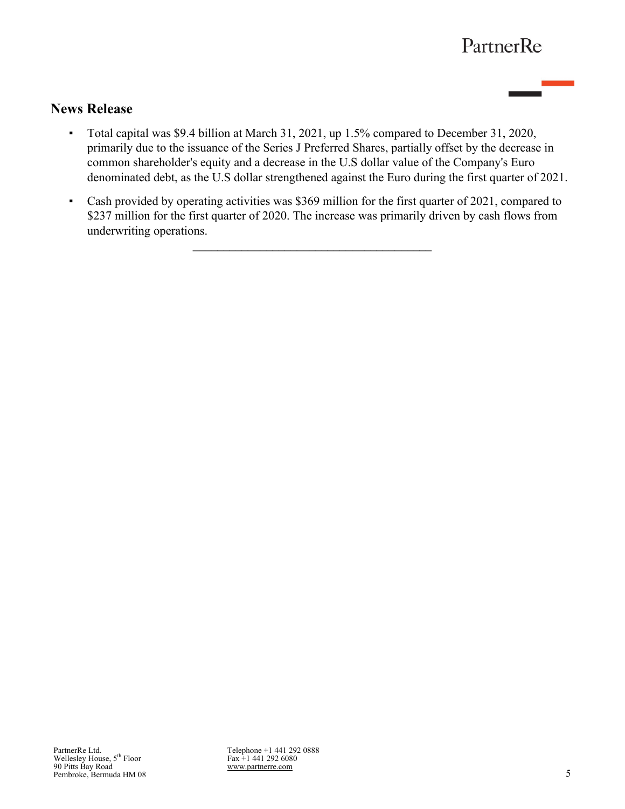# **News Release**

- Total capital was \$9.4 billion at March 31, 2021, up 1.5% compared to December 31, 2020, primarily due to the issuance of the Series J Preferred Shares, partially offset by the decrease in common shareholder's equity and a decrease in the U.S dollar value of the Company's Euro denominated debt, as the U.S dollar strengthened against the Euro during the first quarter of 2021.
- Cash provided by operating activities was \$369 million for the first quarter of 2021, compared to \$237 million for the first quarter of 2020. The increase was primarily driven by cash flows from underwriting operations.

**\_\_\_\_\_\_\_\_\_\_\_\_\_\_\_\_\_\_\_\_\_\_\_\_\_\_\_\_\_\_\_\_\_\_\_\_\_\_\_**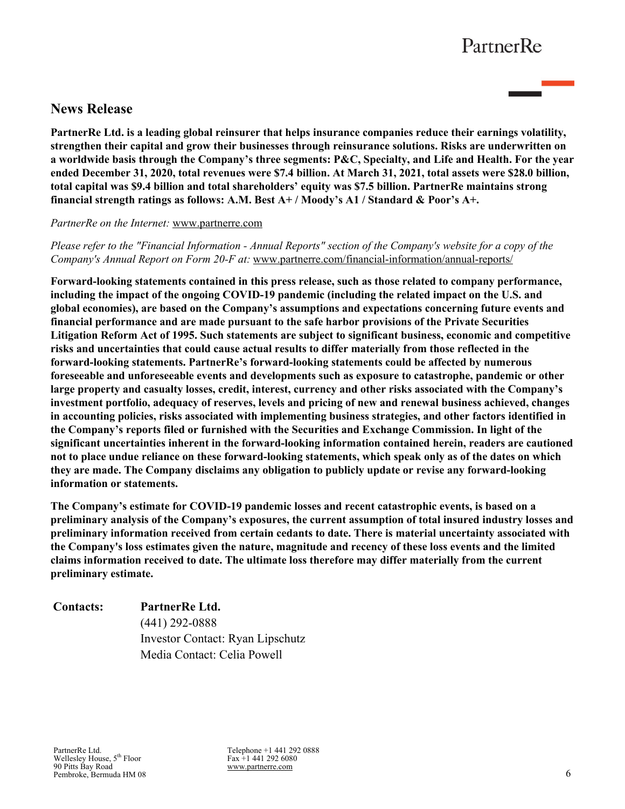# **News Release**

**PartnerRe Ltd. is a leading global reinsurer that helps insurance companies reduce their earnings volatility, strengthen their capital and grow their businesses through reinsurance solutions. Risks are underwritten on a worldwide basis through the Company's three segments: P&C, Specialty, and Life and Health. For the year ended December 31, 2020, total revenues were \$7.4 billion. At March 31, 2021, total assets were \$28.0 billion, total capital was \$9.4 billion and total shareholders' equity was \$7.5 billion. PartnerRe maintains strong financial strength ratings as follows: A.M. Best A+ / Moody's A1 / Standard & Poor's A+.** 

#### *PartnerRe on the Internet:* [www.partnerre.com](http://www.partnerre.com)

*Please refer to the "Financial Information - Annual Reports" section of the Company's website for a copy of the Company's Annual Report on Form 20-F at:* [www.partnerre.com/financial-information/annual-reports/](http://www.partnerre.com/financial-information/annual-reports/)

**Forward-looking statements contained in this press release, such as those related to company performance, including the impact of the ongoing COVID-19 pandemic (including the related impact on the U.S. and global economies), are based on the Company's assumptions and expectations concerning future events and financial performance and are made pursuant to the safe harbor provisions of the Private Securities Litigation Reform Act of 1995. Such statements are subject to significant business, economic and competitive risks and uncertainties that could cause actual results to differ materially from those reflected in the forward-looking statements. PartnerRe's forward-looking statements could be affected by numerous foreseeable and unforeseeable events and developments such as exposure to catastrophe, pandemic or other large property and casualty losses, credit, interest, currency and other risks associated with the Company's investment portfolio, adequacy of reserves, levels and pricing of new and renewal business achieved, changes in accounting policies, risks associated with implementing business strategies, and other factors identified in the Company's reports filed or furnished with the Securities and Exchange Commission. In light of the significant uncertainties inherent in the forward-looking information contained herein, readers are cautioned not to place undue reliance on these forward-looking statements, which speak only as of the dates on which they are made. The Company disclaims any obligation to publicly update or revise any forward-looking information or statements.**

**The Company's estimate for COVID-19 pandemic losses and recent catastrophic events, is based on a preliminary analysis of the Company's exposures, the current assumption of total insured industry losses and preliminary information received from certain cedants to date. There is material uncertainty associated with the Company's loss estimates given the nature, magnitude and recency of these loss events and the limited claims information received to date. The ultimate loss therefore may differ materially from the current preliminary estimate.**

# **Contacts: PartnerRe Ltd.** (441) 292-0888 Investor Contact: Ryan Lipschutz Media Contact: Celia Powell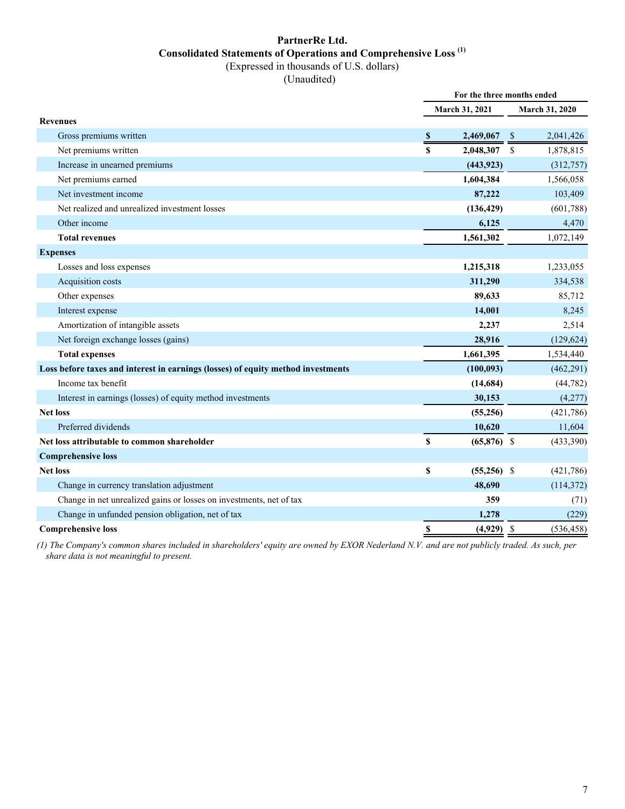### **PartnerRe Ltd. Consolidated Statements of Operations and Comprehensive Loss (1)** (Expressed in thousands of U.S. dollars)

(Unaudited)

|                                                                                  | For the three months ended |               |                    |                       |  |
|----------------------------------------------------------------------------------|----------------------------|---------------|--------------------|-----------------------|--|
|                                                                                  | March 31, 2021             |               |                    | <b>March 31, 2020</b> |  |
| <b>Revenues</b>                                                                  |                            |               |                    |                       |  |
| Gross premiums written                                                           | -S                         | 2,469,067     | -S                 | 2,041,426             |  |
| Net premiums written                                                             | $\mathbf S$                | 2,048,307     | $\mathbf{\hat{S}}$ | 1,878,815             |  |
| Increase in unearned premiums                                                    |                            | (443, 923)    |                    | (312, 757)            |  |
| Net premiums earned                                                              |                            | 1,604,384     |                    | 1,566,058             |  |
| Net investment income                                                            |                            | 87,222        |                    | 103,409               |  |
| Net realized and unrealized investment losses                                    |                            | (136, 429)    |                    | (601,788)             |  |
| Other income                                                                     |                            | 6,125         |                    | 4,470                 |  |
| <b>Total revenues</b>                                                            |                            | 1,561,302     |                    | 1,072,149             |  |
| <b>Expenses</b>                                                                  |                            |               |                    |                       |  |
| Losses and loss expenses                                                         |                            | 1,215,318     |                    | 1,233,055             |  |
| Acquisition costs                                                                |                            | 311,290       |                    | 334,538               |  |
| Other expenses                                                                   |                            | 89,633        |                    | 85,712                |  |
| Interest expense                                                                 |                            | 14,001        |                    | 8,245                 |  |
| Amortization of intangible assets                                                |                            | 2,237         |                    | 2,514                 |  |
| Net foreign exchange losses (gains)                                              |                            | 28,916        |                    | (129, 624)            |  |
| <b>Total expenses</b>                                                            |                            | 1,661,395     |                    | 1,534,440             |  |
| Loss before taxes and interest in earnings (losses) of equity method investments |                            | (100, 093)    |                    | (462, 291)            |  |
| Income tax benefit                                                               |                            | (14, 684)     |                    | (44, 782)             |  |
| Interest in earnings (losses) of equity method investments                       |                            | 30,153        |                    | (4,277)               |  |
| <b>Net loss</b>                                                                  |                            | (55,256)      |                    | (421,786)             |  |
| Preferred dividends                                                              |                            | 10,620        |                    | 11,604                |  |
| Net loss attributable to common shareholder                                      | $\mathbf S$                | $(65,876)$ \$ |                    | (433,390)             |  |
| <b>Comprehensive loss</b>                                                        |                            |               |                    |                       |  |
| <b>Net loss</b>                                                                  | \$                         | $(55,256)$ \$ |                    | (421,786)             |  |
| Change in currency translation adjustment                                        |                            | 48,690        |                    | (114, 372)            |  |
| Change in net unrealized gains or losses on investments, net of tax              |                            | 359           |                    | (71)                  |  |
| Change in unfunded pension obligation, net of tax                                |                            | 1,278         |                    | (229)                 |  |
| <b>Comprehensive loss</b>                                                        | S                          | (4,929)       | -\$                | (536, 458)            |  |
|                                                                                  |                            |               |                    |                       |  |

*(1) The Company's common shares included in shareholders' equity are owned by EXOR Nederland N.V. and are not publicly traded. As such, per share data is not meaningful to present.*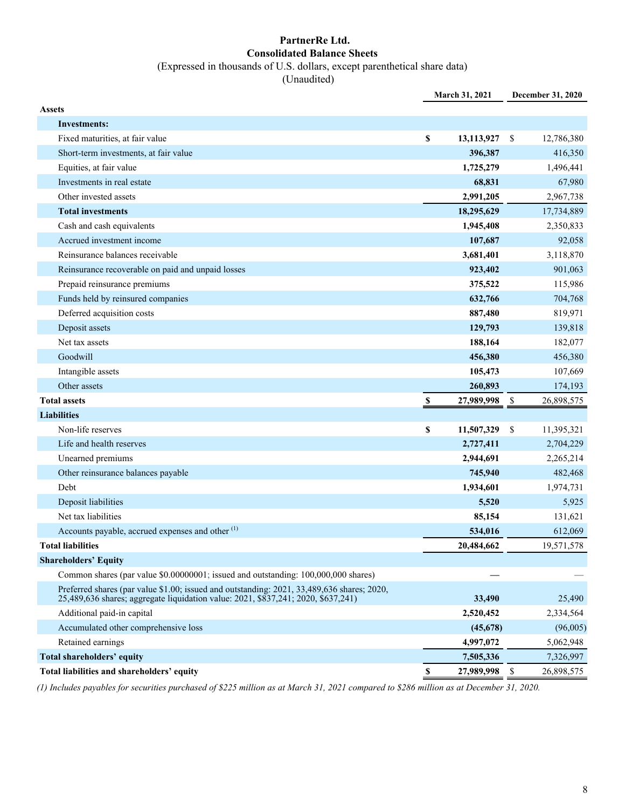### **PartnerRe Ltd. Consolidated Balance Sheets** (Expressed in thousands of U.S. dollars, except parenthetical share data)

(Unaudited)

|               |                                                                                                                                                                                 |    | March 31, 2021 |      | December 31, 2020 |
|---------------|---------------------------------------------------------------------------------------------------------------------------------------------------------------------------------|----|----------------|------|-------------------|
| <b>Assets</b> |                                                                                                                                                                                 |    |                |      |                   |
|               | <b>Investments:</b>                                                                                                                                                             |    |                |      |                   |
|               | Fixed maturities, at fair value                                                                                                                                                 | \$ | 13,113,927     | -\$  | 12,786,380        |
|               | Short-term investments, at fair value                                                                                                                                           |    | 396,387        |      | 416,350           |
|               | Equities, at fair value                                                                                                                                                         |    | 1,725,279      |      | 1,496,441         |
|               | Investments in real estate                                                                                                                                                      |    | 68,831         |      | 67,980            |
|               | Other invested assets                                                                                                                                                           |    | 2,991,205      |      | 2,967,738         |
|               | <b>Total investments</b>                                                                                                                                                        |    | 18,295,629     |      | 17,734,889        |
|               | Cash and cash equivalents                                                                                                                                                       |    | 1,945,408      |      | 2,350,833         |
|               | Accrued investment income                                                                                                                                                       |    | 107,687        |      | 92,058            |
|               | Reinsurance balances receivable                                                                                                                                                 |    | 3,681,401      |      | 3,118,870         |
|               | Reinsurance recoverable on paid and unpaid losses                                                                                                                               |    | 923,402        |      | 901,063           |
|               | Prepaid reinsurance premiums                                                                                                                                                    |    | 375,522        |      | 115,986           |
|               | Funds held by reinsured companies                                                                                                                                               |    | 632,766        |      | 704,768           |
|               | Deferred acquisition costs                                                                                                                                                      |    | 887,480        |      | 819,971           |
|               | Deposit assets                                                                                                                                                                  |    | 129,793        |      | 139,818           |
|               | Net tax assets                                                                                                                                                                  |    | 188,164        |      | 182,077           |
|               | Goodwill                                                                                                                                                                        |    | 456,380        |      | 456,380           |
|               | Intangible assets                                                                                                                                                               |    | 105,473        |      | 107,669           |
|               | Other assets                                                                                                                                                                    |    | 260,893        |      | 174,193           |
|               | <b>Total assets</b>                                                                                                                                                             | -S | 27,989,998     | - \$ | 26,898,575        |
|               | <b>Liabilities</b>                                                                                                                                                              |    |                |      |                   |
|               | Non-life reserves                                                                                                                                                               | \$ | 11,507,329     | -\$  | 11,395,321        |
|               | Life and health reserves                                                                                                                                                        |    | 2,727,411      |      | 2,704,229         |
|               | Unearned premiums                                                                                                                                                               |    | 2,944,691      |      | 2,265,214         |
|               | Other reinsurance balances payable                                                                                                                                              |    | 745,940        |      | 482,468           |
|               | Debt                                                                                                                                                                            |    | 1,934,601      |      | 1,974,731         |
|               | Deposit liabilities                                                                                                                                                             |    | 5,520          |      | 5,925             |
|               | Net tax liabilities                                                                                                                                                             |    | 85,154         |      | 131,621           |
|               | Accounts payable, accrued expenses and other <sup>(1)</sup>                                                                                                                     |    | 534,016        |      | 612,069           |
|               | <b>Total liabilities</b>                                                                                                                                                        |    | 20,484,662     |      | 19,571,578        |
|               | <b>Shareholders' Equity</b>                                                                                                                                                     |    |                |      |                   |
|               | Common shares (par value \$0.00000001; issued and outstanding: 100,000,000 shares)                                                                                              |    |                |      |                   |
|               | Preferred shares (par value \$1.00; issued and outstanding: 2021, 33,489,636 shares; 2020,<br>25,489,636 shares; aggregate liquidation value: 2021, \$837,241, 2020, \$637,241) |    | 33,490         |      | 25,490            |
|               | Additional paid-in capital                                                                                                                                                      |    | 2,520,452      |      | 2,334,564         |
|               | Accumulated other comprehensive loss                                                                                                                                            |    | (45,678)       |      | (96,005)          |
|               | Retained earnings                                                                                                                                                               |    | 4,997,072      |      | 5,062,948         |
|               | <b>Total shareholders' equity</b>                                                                                                                                               |    | 7,505,336      |      | 7,326,997         |
|               | Total liabilities and shareholders' equity                                                                                                                                      | \$ | 27,989,998     | \$   | 26,898,575        |

*(1) Includes payables for securities purchased of \$225 million as at March 31, 2021 compared to \$286 million as at December 31, 2020.*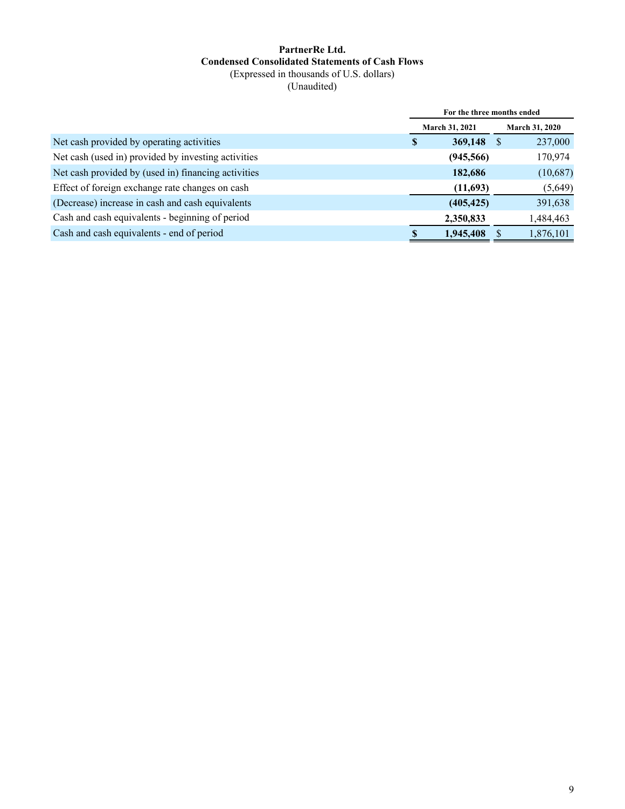#### **PartnerRe Ltd. Condensed Consolidated Statements of Cash Flows** (Expressed in thousands of U.S. dollars) (Unaudited)

|                                                     | For the three months ended |                       |                       |           |  |  |
|-----------------------------------------------------|----------------------------|-----------------------|-----------------------|-----------|--|--|
|                                                     |                            | <b>March 31, 2021</b> | <b>March 31, 2020</b> |           |  |  |
| Net cash provided by operating activities           | <sup>\$</sup>              | 369,148               | -S                    | 237,000   |  |  |
| Net cash (used in) provided by investing activities |                            | (945, 566)            |                       | 170,974   |  |  |
| Net cash provided by (used in) financing activities |                            | 182,686               |                       | (10,687)  |  |  |
| Effect of foreign exchange rate changes on cash     |                            | (11,693)              |                       | (5,649)   |  |  |
| (Decrease) increase in cash and cash equivalents    |                            | (405, 425)            |                       | 391,638   |  |  |
| Cash and cash equivalents - beginning of period     |                            | 2,350,833             |                       | 1,484,463 |  |  |
| Cash and cash equivalents - end of period           |                            | 1,945,408             |                       | 1,876,101 |  |  |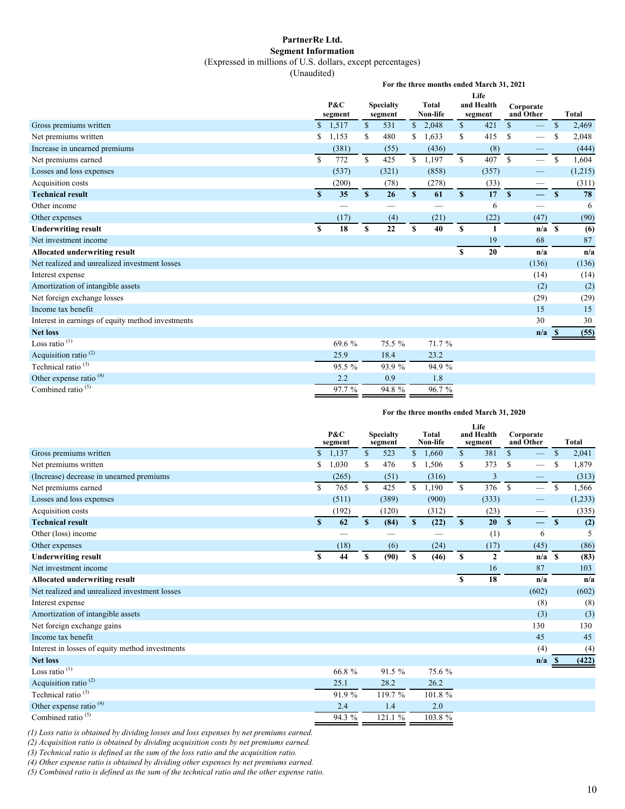#### **PartnerRe Ltd. Segment Information**

(Expressed in millions of U.S. dollars, except percentages)

(Unaudited)

**For the three months ended March 31, 2021**

|                                                   |               | Life                                                  |               |         |              |          |              |         |               |                          |               |              |
|---------------------------------------------------|---------------|-------------------------------------------------------|---------------|---------|--------------|----------|--------------|---------|---------------|--------------------------|---------------|--------------|
|                                                   |               | P&C<br><b>Total</b><br>and Health<br><b>Specialty</b> |               |         | Corporate    |          |              |         |               |                          |               |              |
|                                                   |               | segment                                               |               | segment |              | Non-life |              | segment | and Other     |                          |               | <b>Total</b> |
| Gross premiums written                            |               | \$1,517                                               | <sup>\$</sup> | 531     |              | \$2,048  | \$           | 421     | $\mathsf{\$}$ |                          | $\mathbb{S}$  | 2,469        |
| Net premiums written                              | \$            | 1,153                                                 | <sup>\$</sup> | 480     | S.           | 1,633    | S.           | 415     | <sup>\$</sup> | $\overline{\phantom{0}}$ | S             | 2,048        |
| Increase in unearned premiums                     |               | (381)                                                 |               | (55)    |              | (436)    |              | (8)     |               |                          |               | (444)        |
| Net premiums earned                               | <sup>\$</sup> | 772                                                   | $\mathbb{S}$  | 425     | \$           | 1,197    | \$           | 407     | <sup>\$</sup> |                          | <sup>\$</sup> | 1,604        |
| Losses and loss expenses                          |               | (537)                                                 |               | (321)   |              | (858)    |              | (357)   |               |                          |               | (1,215)      |
| Acquisition costs                                 |               | (200)                                                 |               | (78)    |              | (278)    |              | (33)    |               |                          |               | (311)        |
| <b>Technical result</b>                           | $\mathbf{s}$  | 35                                                    | $\mathbf{s}$  | 26      | $\mathbf{s}$ | 61       | $\mathbf{s}$ | 17      | $\mathbf{s}$  | $\equiv$                 | $\mathbf{s}$  | 78           |
| Other income                                      |               |                                                       |               |         |              | --       |              | 6       |               | —                        |               | 6            |
| Other expenses                                    |               | (17)                                                  |               | (4)     |              | (21)     |              | (22)    |               | (47)                     |               | (90)         |
| <b>Underwriting result</b>                        | \$            | 18                                                    | S             | 22      | \$           | 40       | \$           | 1       |               | $n/a$ S                  |               | (6)          |
| Net investment income                             |               |                                                       |               |         |              |          |              | 19      |               | 68                       |               | 87           |
| Allocated underwriting result                     |               |                                                       |               |         |              |          | S            | 20      |               | n/a                      |               | n/a          |
| Net realized and unrealized investment losses     |               |                                                       |               |         |              |          |              |         |               | (136)                    |               | (136)        |
| Interest expense                                  |               |                                                       |               |         |              |          |              |         |               | (14)                     |               | (14)         |
| Amortization of intangible assets                 |               |                                                       |               |         |              |          |              |         |               | (2)                      |               | (2)          |
| Net foreign exchange losses                       |               |                                                       |               |         |              |          |              |         |               | (29)                     |               | (29)         |
| Income tax benefit                                |               |                                                       |               |         |              |          |              |         |               | 15                       |               | 15           |
| Interest in earnings of equity method investments |               |                                                       |               |         |              |          |              |         |               | 30                       |               | 30           |
| <b>Net loss</b>                                   |               |                                                       |               |         |              |          |              |         |               | n/a                      | - S           | (55)         |
| Loss ratio $(1)$                                  |               | 69.6 %                                                |               | 75.5 %  |              | 71.7 %   |              |         |               |                          |               |              |
| Acquisition ratio <sup>(2)</sup>                  |               | 25.9                                                  |               | 18.4    |              | 23.2     |              |         |               |                          |               |              |
| Technical ratio <sup>(3)</sup>                    |               | 95.5 %                                                |               | 93.9 %  |              | 94.9 %   |              |         |               |                          |               |              |
| Other expense ratio <sup>(4)</sup>                |               | 2.2                                                   |               | 0.9     |              | 1.8      |              |         |               |                          |               |              |
| Combined ratio <sup>(5)</sup>                     |               | 97.7 %                                                |               | 94.8%   |              | 96.7%    |              |         |               |                          |               |              |

#### **For the three months ended March 31, 2020**

|                                                 |    | P&C<br>segment |                           | <b>Specialty</b><br>segment |              | <b>Total</b><br>Non-life |              | Life<br>and Health<br>segment | Corporate<br>and Other |         |               | <b>Total</b> |
|-------------------------------------------------|----|----------------|---------------------------|-----------------------------|--------------|--------------------------|--------------|-------------------------------|------------------------|---------|---------------|--------------|
| Gross premiums written                          |    | \$1,137        | \$                        | 523                         | $\mathbb{S}$ | 1,660                    | $\mathbb{S}$ | 381                           | $\mathbf{s}$           |         | $\mathbf S$   | 2,041        |
| Net premiums written                            | S  | 1,030          | S                         | 476                         | S            | 1,506                    | \$           | 373                           | <sup>\$</sup>          |         | S             | 1,879        |
| (Increase) decrease in unearned premiums        |    | (265)          |                           | (51)                        |              | (316)                    |              | 3                             |                        |         |               | (313)        |
| Net premiums earned                             | \$ | 765            | \$                        | 425                         | \$           | 1,190                    | \$           | 376                           | $\mathbb{S}$           |         | <sup>\$</sup> | 1,566        |
| Losses and loss expenses                        |    | (511)          |                           | (389)                       |              | (900)                    |              | (333)                         |                        |         |               | (1,233)      |
| Acquisition costs                               |    | (192)          |                           | (120)                       |              | (312)                    |              | (23)                          |                        |         |               | (335)        |
| <b>Technical result</b>                         | S  | 62             | $\boldsymbol{\mathsf{s}}$ | (84)                        | $\mathbf{s}$ | (22)                     | $\mathbf{s}$ | 20                            | $\mathbf{s}$           |         | $\mathbf{s}$  | (2)          |
| Other (loss) income                             |    |                |                           |                             |              |                          |              | (1)                           |                        | 6       |               | 5            |
| Other expenses                                  |    | (18)           |                           | (6)                         |              | (24)                     |              | (17)                          |                        | (45)    |               | (86)         |
| <b>Underwriting result</b>                      | S  | 44             | S                         | (90)                        | S            | (46)                     | S            | $\mathbf{2}$                  |                        | $n/a$ S |               | (83)         |
| Net investment income                           |    |                |                           |                             |              |                          |              | 16                            |                        | 87      |               | 103          |
| <b>Allocated underwriting result</b>            |    |                |                           |                             |              |                          | $\mathbf S$  | 18                            |                        | n/a     |               | n/a          |
| Net realized and unrealized investment losses   |    |                |                           |                             |              |                          |              |                               |                        | (602)   |               | (602)        |
| Interest expense                                |    |                |                           |                             |              |                          |              |                               |                        | (8)     |               | (8)          |
| Amortization of intangible assets               |    |                |                           |                             |              |                          |              |                               |                        | (3)     |               | (3)          |
| Net foreign exchange gains                      |    |                |                           |                             |              |                          |              |                               |                        | 130     |               | 130          |
| Income tax benefit                              |    |                |                           |                             |              |                          |              |                               |                        | 45      |               | 45           |
| Interest in losses of equity method investments |    |                |                           |                             |              |                          |              |                               |                        | (4)     |               | (4)          |
| <b>Net loss</b>                                 |    |                |                           |                             |              |                          |              |                               |                        | n/a     | - 86          | (422)        |
| Loss ratio $(1)$                                |    | 66.8%          |                           | 91.5 %                      |              | 75.6 %                   |              |                               |                        |         |               |              |
| Acquisition ratio <sup>(2)</sup>                |    | 25.1           |                           | 28.2                        |              | 26.2                     |              |                               |                        |         |               |              |
| Technical ratio <sup>(3)</sup>                  |    | 91.9%          |                           | 119.7 %                     |              | 101.8%                   |              |                               |                        |         |               |              |
| Other expense ratio <sup>(4)</sup>              |    | 2.4            |                           | 1.4                         |              | 2.0                      |              |                               |                        |         |               |              |
| Combined ratio <sup>(5)</sup>                   |    | 94.3 %         |                           | 121.1%                      |              | 103.8%                   |              |                               |                        |         |               |              |

*(1) Loss ratio is obtained by dividing losses and loss expenses by net premiums earned.*

*(2) Acquisition ratio is obtained by dividing acquisition costs by net premiums earned.*

*(3) Technical ratio is defined as the sum of the loss ratio and the acquisition ratio.*

*(4) Other expense ratio is obtained by dividing other expenses by net premiums earned.*

*(5) Combined ratio is defined as the sum of the technical ratio and the other expense ratio.*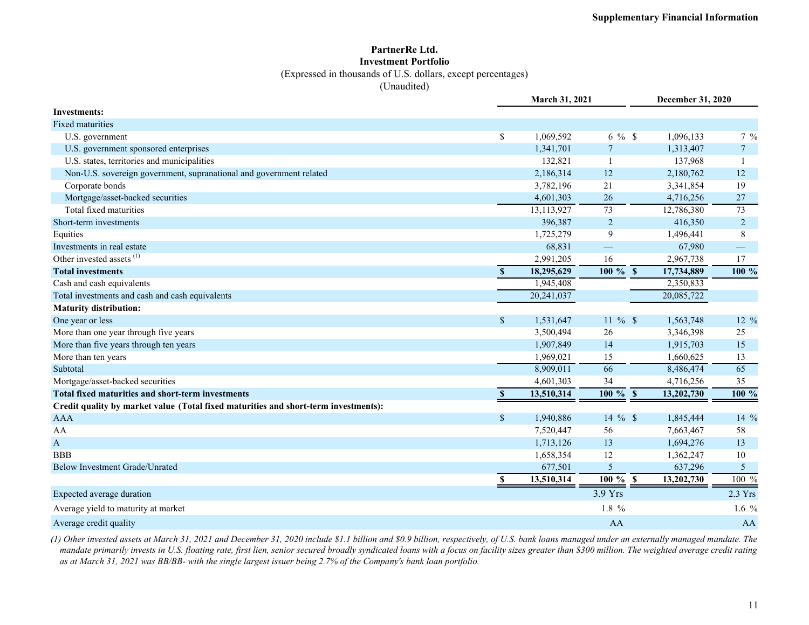#### **PartnerRe Ltd. Investment Portfolio**

(Expressed in thousands of U.S. dollars, except percentages)

(Unaudited)

|                                                                                     |              | March 31, 2021 |                       |            | <b>December 31, 2020</b> |                 |
|-------------------------------------------------------------------------------------|--------------|----------------|-----------------------|------------|--------------------------|-----------------|
| <b>Investments:</b>                                                                 |              |                |                       |            |                          |                 |
| <b>Fixed maturities</b>                                                             |              |                |                       |            |                          |                 |
| U.S. government                                                                     | \$           | 1,069,592      | $6\%$ \$              |            | 1,096,133                | $7\frac{9}{6}$  |
| U.S. government sponsored enterprises                                               |              | 1,341,701      | $\tau$                |            | 1,313,407                | $7\overline{ }$ |
| U.S. states, territories and municipalities                                         |              | 132,821        |                       |            | 137,968                  | $\mathbf{1}$    |
| Non-U.S. sovereign government, supranational and government related                 |              | 2,186,314      | 12                    |            | 2,180,762                | 12              |
| Corporate bonds                                                                     |              | 3,782,196      | 21                    |            | 3,341,854                | 19              |
| Mortgage/asset-backed securities                                                    |              | 4,601,303      | 26                    |            | 4,716,256                | 27              |
| Total fixed maturities                                                              |              | 13, 113, 927   | 73                    | 12,786,380 |                          | $\overline{73}$ |
| Short-term investments                                                              |              | 396,387        | $\overline{c}$        |            | 416,350                  | $\overline{c}$  |
| Equities                                                                            |              | 1,725,279      | 9                     |            | 1,496,441                | 8               |
| Investments in real estate                                                          |              | 68,831         |                       |            | 67,980                   |                 |
| Other invested assets <sup>(1)</sup>                                                |              | 2,991,205      | 16                    |            | 2,967,738                | 17              |
| <b>Total investments</b>                                                            | S            | 18,295,629     | $100 \%$ \$           | 17,734,889 |                          | 100 %           |
| Cash and cash equivalents                                                           |              | 1,945,408      |                       |            | 2,350,833                |                 |
| Total investments and cash and cash equivalents                                     |              | 20,241,037     |                       | 20,085,722 |                          |                 |
| <b>Maturity distribution:</b>                                                       |              |                |                       |            |                          |                 |
| One year or less                                                                    | $\sqrt{\ }$  | 1,531,647      | $11 \%$ \$            |            | 1,563,748                | 12 %            |
| More than one year through five years                                               |              | 3,500,494      | 26                    |            | 3,346,398                | 25              |
| More than five years through ten years                                              |              | 1,907,849      | 14                    |            | 1,915,703                | 15              |
| More than ten years                                                                 |              | 1,969,021      | 15                    |            | 1,660,625                | 13              |
| Subtotal                                                                            |              | 8,909,011      | 66                    |            | 8,486,474                | 65              |
| Mortgage/asset-backed securities                                                    |              | 4,601,303      | 34                    |            | 4,716,256                | 35              |
| <b>Total fixed maturities and short-term investments</b>                            | $\mathbf{s}$ | 13,510,314     | $\overline{100\%}$ \$ | 13,202,730 |                          | $100\%$         |
| Credit quality by market value (Total fixed maturities and short-term investments): |              |                |                       |            |                          |                 |
| <b>AAA</b>                                                                          | $\sqrt{\ }$  | 1,940,886      | 14 $%$ \$             |            | 1,845,444                | 14 %            |
| AA                                                                                  |              | 7,520,447      | 56                    |            | 7,663,467                | 58              |
| $\mathbf{A}$                                                                        |              | 1,713,126      | 13                    |            | 1,694,276                | 13              |
| <b>BBB</b>                                                                          |              | 1,658,354      | 12                    |            | 1,362,247                | 10              |
| <b>Below Investment Grade/Unrated</b>                                               |              | 677,501        | 5                     |            | 637,296                  | 5               |
|                                                                                     | \$           | 13,510,314     | $100 \%$ \$           | 13,202,730 |                          | 100 %           |
| Expected average duration                                                           |              |                | 3.9 Yrs               |            |                          | $2.3$ Yrs       |
| Average yield to maturity at market                                                 |              |                | 1.8 %                 |            |                          | 1.6 $%$         |
| Average credit quality                                                              |              |                | AA                    |            |                          | AA              |

*(1) Other invested assets at March 31, 2021 and December 31, 2020 include \$1.1 billion and \$0.9 billion, respectively, of U.S. bank loans managed under an externally managed mandate. The mandate primarily invests in U.S. floating rate, first lien, senior secured broadly syndicated loans with a focus on facility sizes greater than \$300 million. The weighted average credit rating as at March 31, 2021 was BB/BB- with the single largest issuer being 2.7% of the Company's bank loan portfolio.*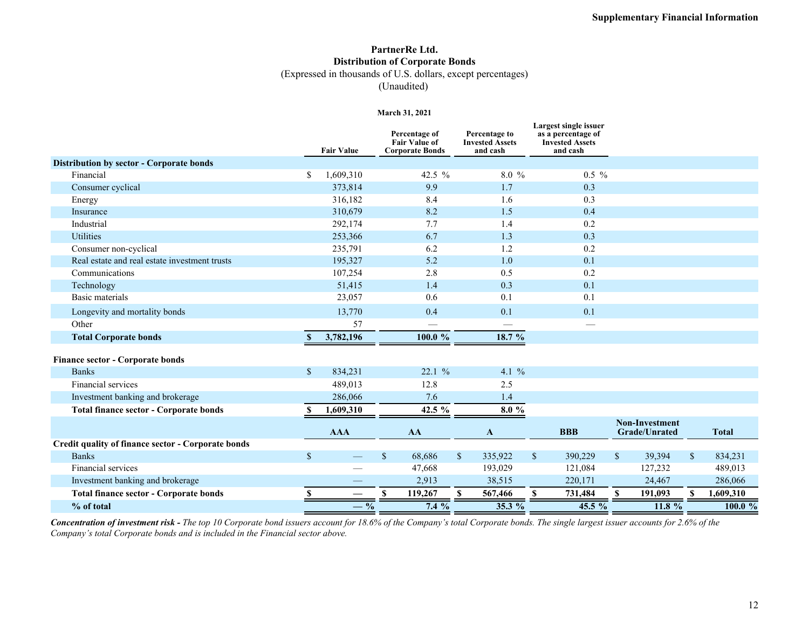## **PartnerRe Ltd. Distribution of Corporate Bonds**

(Expressed in thousands of U.S. dollars, except percentages)

(Unaudited)

#### **March 31, 2021**

|                                                    |              | <b>Fair Value</b>        | Percentage of<br><b>Fair Value of</b><br><b>Corporate Bonds</b> |              | Percentage to<br><b>Invested Assets</b><br>and cash | Largest single issuer<br>as a percentage of<br><b>Invested Assets</b><br>and cash |              |                                        |              |              |
|----------------------------------------------------|--------------|--------------------------|-----------------------------------------------------------------|--------------|-----------------------------------------------------|-----------------------------------------------------------------------------------|--------------|----------------------------------------|--------------|--------------|
| Distribution by sector - Corporate bonds           |              |                          |                                                                 |              |                                                     |                                                                                   |              |                                        |              |              |
| Financial                                          | \$           | 1,609,310                | 42.5 %                                                          |              | $8.0\%$                                             | $0.5\%$                                                                           |              |                                        |              |              |
| Consumer cyclical                                  |              | 373,814                  | 9.9                                                             |              | 1.7                                                 | 0.3                                                                               |              |                                        |              |              |
| Energy                                             |              | 316,182                  | 8.4                                                             |              | 1.6                                                 | 0.3                                                                               |              |                                        |              |              |
| Insurance                                          |              | 310,679                  | 8.2                                                             |              | 1.5                                                 | 0.4                                                                               |              |                                        |              |              |
| Industrial                                         |              | 292,174                  | 7.7                                                             |              | 1.4                                                 | 0.2                                                                               |              |                                        |              |              |
| Utilities                                          |              | 253,366                  | 6.7                                                             |              | 1.3                                                 | 0.3                                                                               |              |                                        |              |              |
| Consumer non-cyclical                              |              | 235,791                  | 6.2                                                             |              | 1.2                                                 | 0.2                                                                               |              |                                        |              |              |
| Real estate and real estate investment trusts      |              | 195,327                  | 5.2                                                             |              | 1.0                                                 | 0.1                                                                               |              |                                        |              |              |
| Communications                                     |              | 107,254                  | 2.8                                                             |              | 0.5                                                 | 0.2                                                                               |              |                                        |              |              |
| Technology                                         |              | 51,415                   | 1.4                                                             |              | 0.3                                                 | 0.1                                                                               |              |                                        |              |              |
| Basic materials                                    |              | 23,057                   | 0.6                                                             |              | 0.1                                                 | 0.1                                                                               |              |                                        |              |              |
| Longevity and mortality bonds                      |              | 13,770                   | 0.4                                                             |              | 0.1                                                 | 0.1                                                                               |              |                                        |              |              |
| Other                                              |              | 57                       | $\overline{\phantom{0}}$                                        |              |                                                     |                                                                                   |              |                                        |              |              |
| <b>Total Corporate bonds</b>                       | $\mathbf{s}$ | 3,782,196                | 100.0 %                                                         |              | 18.7 %                                              |                                                                                   |              |                                        |              |              |
| Finance sector - Corporate bonds                   |              |                          |                                                                 |              |                                                     |                                                                                   |              |                                        |              |              |
| <b>Banks</b>                                       | $\sqrt{\ }$  | 834,231                  | 22.1%                                                           |              | 4.1 $\%$                                            |                                                                                   |              |                                        |              |              |
| Financial services                                 |              | 489,013                  | 12.8                                                            |              | 2.5                                                 |                                                                                   |              |                                        |              |              |
| Investment banking and brokerage                   |              | 286,066                  | 7.6                                                             |              | 1.4                                                 |                                                                                   |              |                                        |              |              |
| <b>Total finance sector - Corporate bonds</b>      | S            | 1,609,310                | 42.5 %                                                          |              | 8.0%                                                |                                                                                   |              |                                        |              |              |
|                                                    |              | <b>AAA</b>               | AA                                                              |              | $\mathbf{A}$                                        | <b>BBB</b>                                                                        |              | <b>Non-Investment</b><br>Grade/Unrated |              | <b>Total</b> |
| Credit quality of finance sector - Corporate bonds |              |                          |                                                                 |              |                                                     |                                                                                   |              |                                        |              |              |
| <b>Banks</b>                                       | $\sqrt{\ }$  |                          | $\mathbf{s}$<br>68,686                                          | $\mathbb{S}$ | 335,922                                             | $\mathbb{S}$<br>390,229                                                           | $\mathbb{S}$ | 39,394                                 | $\mathbb{S}$ | 834,231      |
| Financial services                                 |              |                          | 47,668                                                          |              | 193,029                                             | 121,084                                                                           |              | 127,232                                |              | 489,013      |
| Investment banking and brokerage                   |              |                          | 2,913                                                           |              | 38,515                                              | 220,171                                                                           |              | 24,467                                 |              | 286,066      |
| <b>Total finance sector - Corporate bonds</b>      | S            | $\overline{\phantom{0}}$ | $\mathbf{s}$<br>119,267                                         | S            | 567,466                                             | 731,484<br>S                                                                      | \$.          | 191,093                                |              | 1,609,310    |
| % of total                                         |              | $-$ %                    | $7.4\%$                                                         |              | $35.3\%$                                            | $45.5\%$                                                                          |              | 11.8%                                  |              | 100.0%       |

*Concentration of investment risk - The top 10 Corporate bond issuers account for 18.6% of the Company's total Corporate bonds. The single largest issuer accounts for 2.6% of the Company's total Corporate bonds and is included in the Financial sector above.*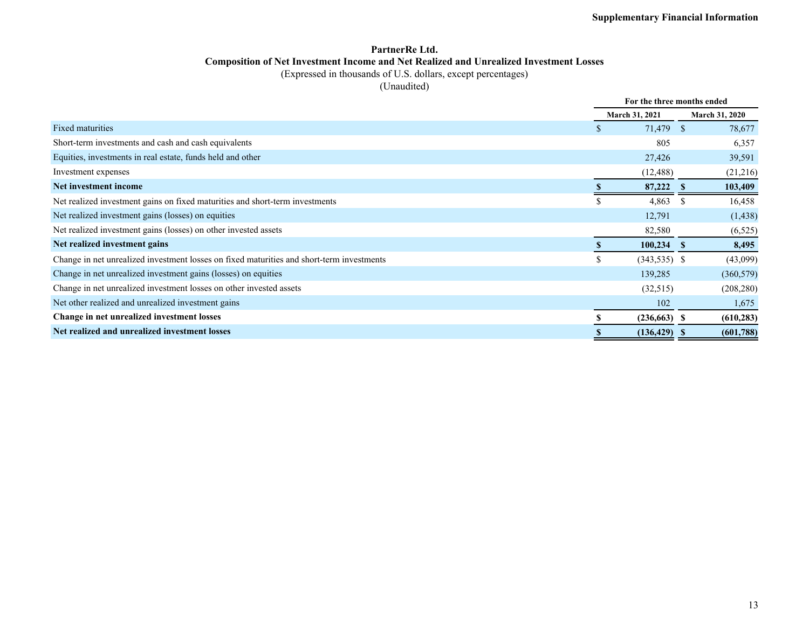### **PartnerRe Ltd. Composition of Net Investment Income and Net Realized and Unrealized Investment Losses**

(Expressed in thousands of U.S. dollars, except percentages)

(Unaudited)

|                                                                                           |    | For the three months ended |                       |
|-------------------------------------------------------------------------------------------|----|----------------------------|-----------------------|
|                                                                                           |    | <b>March 31, 2021</b>      | <b>March 31, 2020</b> |
| Fixed maturities                                                                          |    | 71,479 \$                  | 78,677                |
| Short-term investments and cash and cash equivalents                                      |    | 805                        | 6,357                 |
| Equities, investments in real estate, funds held and other                                |    | 27,426                     | 39,591                |
| Investment expenses                                                                       |    | (12, 488)                  | (21,216)              |
| Net investment income                                                                     |    | 87,222                     | 103,409               |
| Net realized investment gains on fixed maturities and short-term investments              | ъ. | 4,863                      | 16,458<br>-S          |
| Net realized investment gains (losses) on equities                                        |    | 12,791                     | (1, 438)              |
| Net realized investment gains (losses) on other invested assets                           |    | 82,580                     | (6, 525)              |
| Net realized investment gains                                                             |    | $100,234$ \$               | 8,495                 |
| Change in net unrealized investment losses on fixed maturities and short-term investments | \$ | $(343,535)$ \$             | (43,099)              |
| Change in net unrealized investment gains (losses) on equities                            |    | 139,285                    | (360, 579)            |
| Change in net unrealized investment losses on other invested assets                       |    | (32,515)                   | (208, 280)            |
| Net other realized and unrealized investment gains                                        |    | 102                        | 1,675                 |
| Change in net unrealized investment losses                                                |    | $(236,663)$ \$             | (610, 283)            |
| Net realized and unrealized investment losses                                             |    | $(136, 429)$ \$            | (601,788)             |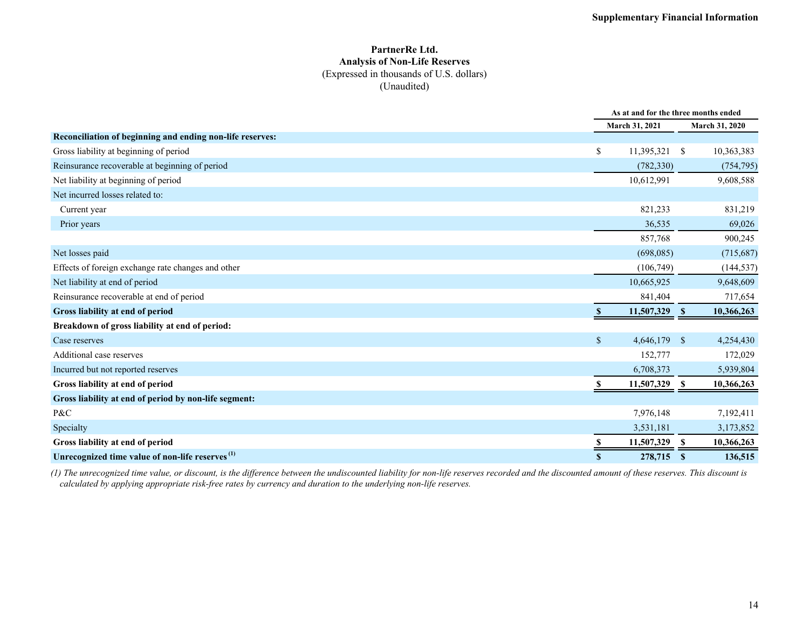### **PartnerRe Ltd. Analysis of Non-Life Reserves** (Expressed in thousands of U.S. dollars) (Unaudited)

|                                                             |                       | As at and for the three months ended |                |  |  |  |
|-------------------------------------------------------------|-----------------------|--------------------------------------|----------------|--|--|--|
|                                                             | <b>March 31, 2021</b> |                                      | March 31, 2020 |  |  |  |
| Reconciliation of beginning and ending non-life reserves:   |                       |                                      |                |  |  |  |
| Gross liability at beginning of period                      | \$<br>$11,395,321$ \$ |                                      | 10,363,383     |  |  |  |
| Reinsurance recoverable at beginning of period              | (782, 330)            |                                      | (754, 795)     |  |  |  |
| Net liability at beginning of period                        | 10,612,991            |                                      | 9,608,588      |  |  |  |
| Net incurred losses related to:                             |                       |                                      |                |  |  |  |
| Current year                                                | 821,233               |                                      | 831,219        |  |  |  |
| Prior years                                                 | 36,535                |                                      | 69,026         |  |  |  |
|                                                             | 857,768               |                                      | 900,245        |  |  |  |
| Net losses paid                                             | (698,085)             |                                      | (715, 687)     |  |  |  |
| Effects of foreign exchange rate changes and other          | (106,749)             |                                      | (144, 537)     |  |  |  |
| Net liability at end of period                              | 10,665,925            |                                      | 9,648,609      |  |  |  |
| Reinsurance recoverable at end of period                    | 841,404               |                                      | 717,654        |  |  |  |
| Gross liability at end of period                            | 11,507,329            | $\mathbf s$                          | 10,366,263     |  |  |  |
| Breakdown of gross liability at end of period:              |                       |                                      |                |  |  |  |
| Case reserves                                               | \$<br>4,646,179 \$    |                                      | 4,254,430      |  |  |  |
| Additional case reserves                                    | 152,777               |                                      | 172,029        |  |  |  |
| Incurred but not reported reserves                          | 6,708,373             |                                      | 5,939,804      |  |  |  |
| Gross liability at end of period                            | 11,507,329            | -S                                   | 10,366,263     |  |  |  |
| Gross liability at end of period by non-life segment:       |                       |                                      |                |  |  |  |
| P&C                                                         | 7,976,148             |                                      | 7,192,411      |  |  |  |
| Specialty                                                   | 3,531,181             |                                      | 3,173,852      |  |  |  |
| Gross liability at end of period                            | 11,507,329            | -S                                   | 10,366,263     |  |  |  |
| Unrecognized time value of non-life reserves <sup>(1)</sup> | 278,715<br>S.         | - S                                  | 136,515        |  |  |  |

*(1) The unrecognized time value, or discount, is the difference between the undiscounted liability for non-life reserves recorded and the discounted amount of these reserves. This discount is calculated by applying appropriate risk-free rates by currency and duration to the underlying non-life reserves.*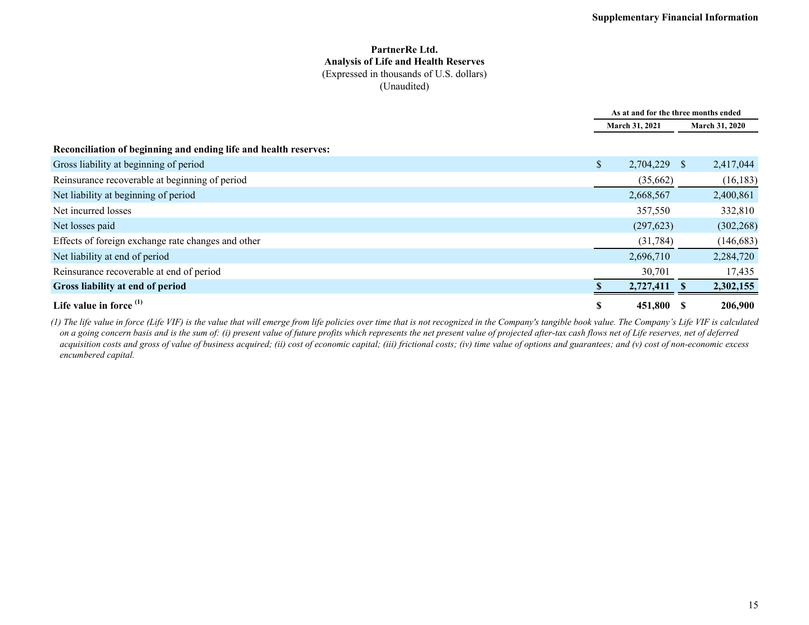#### **PartnerRe Ltd. Analysis of Life and Health Reserves** (Expressed in thousands of U.S. dollars) (Unaudited)

|                                                                  | As at and for the three months ended |                |  |                       |  |
|------------------------------------------------------------------|--------------------------------------|----------------|--|-----------------------|--|
|                                                                  |                                      | March 31, 2021 |  | <b>March 31, 2020</b> |  |
| Reconciliation of beginning and ending life and health reserves: |                                      |                |  |                       |  |
| Gross liability at beginning of period                           | $\mathbb{S}$                         | 2,704,229 \$   |  | 2,417,044             |  |
| Reinsurance recoverable at beginning of period                   |                                      | (35,662)       |  | (16, 183)             |  |
| Net liability at beginning of period                             |                                      | 2,668,567      |  | 2,400,861             |  |
| Net incurred losses                                              |                                      | 357,550        |  | 332,810               |  |
| Net losses paid                                                  |                                      | (297, 623)     |  | (302, 268)            |  |
| Effects of foreign exchange rate changes and other               |                                      | (31, 784)      |  | (146, 683)            |  |
| Net liability at end of period                                   |                                      | 2,696,710      |  | 2,284,720             |  |
| Reinsurance recoverable at end of period                         |                                      | 30,701         |  | 17,435                |  |
| Gross liability at end of period                                 |                                      | 2,727,411      |  | 2,302,155             |  |
| Life value in force $(1)$                                        | S                                    | 451,800 \$     |  | 206,900               |  |

*(1) The life value in force (Life VIF) is the value that will emerge from life policies over time that is not recognized in the Company's tangible book value. The Company's Life VIF is calculated on a going concern basis and is the sum of: (i) present value of future profits which represents the net present value of projected after-tax cash flows net of Life reserves, net of deferred acquisition costs and gross of value of business acquired; (ii) cost of economic capital; (iii) frictional costs; (iv) time value of options and guarantees; and (v) cost of non-economic excess encumbered capital.*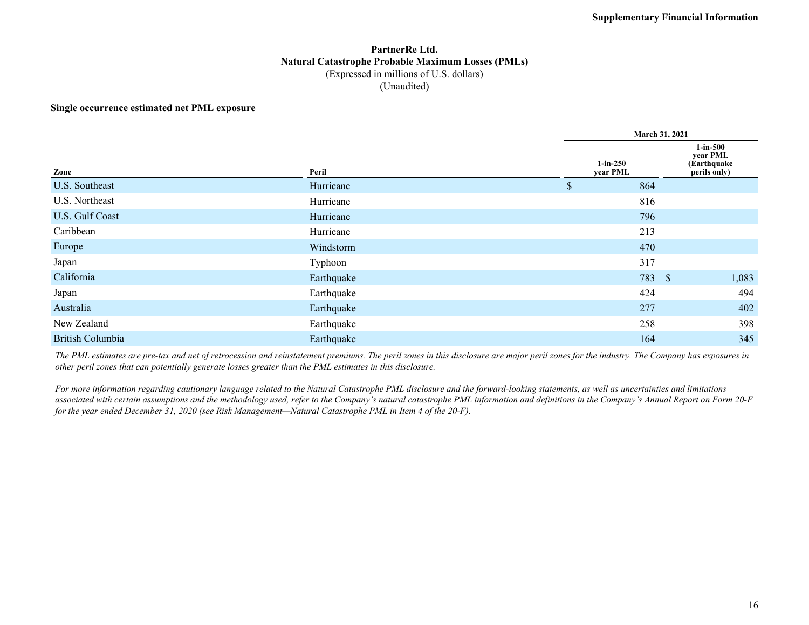### **PartnerRe Ltd. Natural Catastrophe Probable Maximum Losses (PMLs)** (Expressed in millions of U.S. dollars) (Unaudited)

#### **Single occurrence estimated net PML exposure**

|                         |            |                        | <b>March 31, 2021</b> |                                                         |  |  |  |  |  |  |
|-------------------------|------------|------------------------|-----------------------|---------------------------------------------------------|--|--|--|--|--|--|
| Zone                    | Peril      | $1-in-250$<br>year PML |                       | $1$ -in-500<br>year PML<br>(Earthquake)<br>perils only) |  |  |  |  |  |  |
| U.S. Southeast          | Hurricane  | 864<br>\$              |                       |                                                         |  |  |  |  |  |  |
| U.S. Northeast          | Hurricane  | 816                    |                       |                                                         |  |  |  |  |  |  |
| U.S. Gulf Coast         | Hurricane  | 796                    |                       |                                                         |  |  |  |  |  |  |
| Caribbean               | Hurricane  | 213                    |                       |                                                         |  |  |  |  |  |  |
| Europe                  | Windstorm  | 470                    |                       |                                                         |  |  |  |  |  |  |
| Japan                   | Typhoon    | 317                    |                       |                                                         |  |  |  |  |  |  |
| California              | Earthquake |                        | 783 \$                | 1,083                                                   |  |  |  |  |  |  |
| Japan                   | Earthquake | 424                    |                       | 494                                                     |  |  |  |  |  |  |
| Australia               | Earthquake | 277                    |                       | 402                                                     |  |  |  |  |  |  |
| New Zealand             | Earthquake | 258                    |                       | 398                                                     |  |  |  |  |  |  |
| <b>British Columbia</b> | Earthquake | 164                    |                       | 345                                                     |  |  |  |  |  |  |

*The PML estimates are pre-tax and net of retrocession and reinstatement premiums. The peril zones in this disclosure are major peril zones for the industry. The Company has exposures in other peril zones that can potentially generate losses greater than the PML estimates in this disclosure.*

*For more information regarding cautionary language related to the Natural Catastrophe PML disclosure and the forward-looking statements, as well as uncertainties and limitations*  associated with certain assumptions and the methodology used, refer to the Company's natural catastrophe PML information and definitions in the Company's Annual Report on Form 20-F *for the year ended December 31, 2020 (see Risk Management—Natural Catastrophe PML in Item 4 of the 20-F).*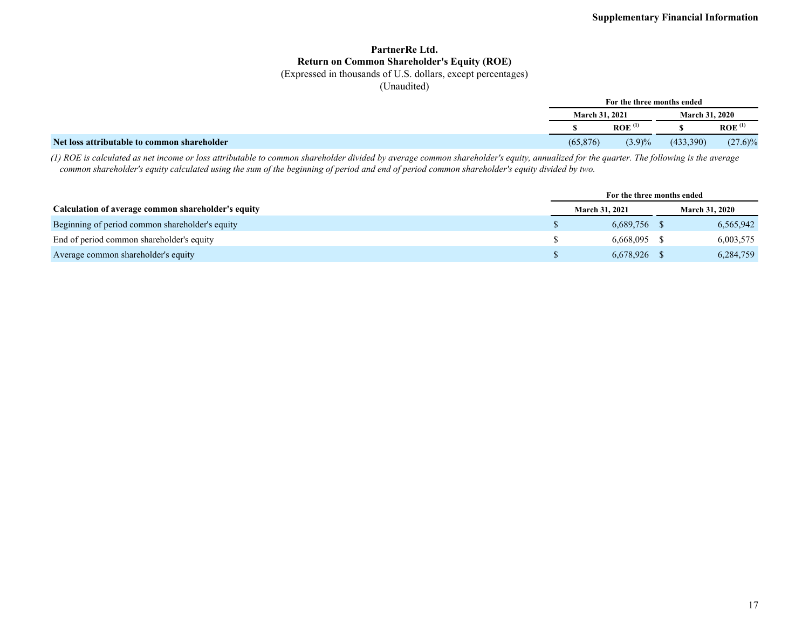### **PartnerRe Ltd. Return on Common Shareholder's Equity (ROE)**

(Expressed in thousands of U.S. dollars, except percentages)

(Unaudited)

|                                             | For the three months ended<br><b>March 31, 2020</b><br><b>March 31, 2021</b> |                      |           |                                   |  |
|---------------------------------------------|------------------------------------------------------------------------------|----------------------|-----------|-----------------------------------|--|
|                                             |                                                                              |                      |           |                                   |  |
|                                             |                                                                              | $ROE$ <sup>(1)</sup> |           | $ROE$ <sup><math>(1)</math></sup> |  |
| Net loss attributable to common shareholder | (65, 876)                                                                    | (3.9)%               | (433,390) | $(27.6)\%$                        |  |

*(1) ROE is calculated as net income or loss attributable to common shareholder divided by average common shareholder's equity, annualized for the quarter. The following is the average common shareholder's equity calculated using the sum of the beginning of period and end of period common shareholder's equity divided by two.*

|                                                    |                       | For the three months ended |                       |  |
|----------------------------------------------------|-----------------------|----------------------------|-----------------------|--|
| Calculation of average common shareholder's equity | <b>March 31, 2021</b> |                            | <b>March 31, 2020</b> |  |
| Beginning of period common shareholder's equity    | $6,689,756$ \$        |                            | 6,565,942             |  |
| End of period common shareholder's equity          | $6.668.095$ \$        |                            | 6,003,575             |  |
| Average common shareholder's equity                | 6,678,926 \$          |                            | 6,284,759             |  |